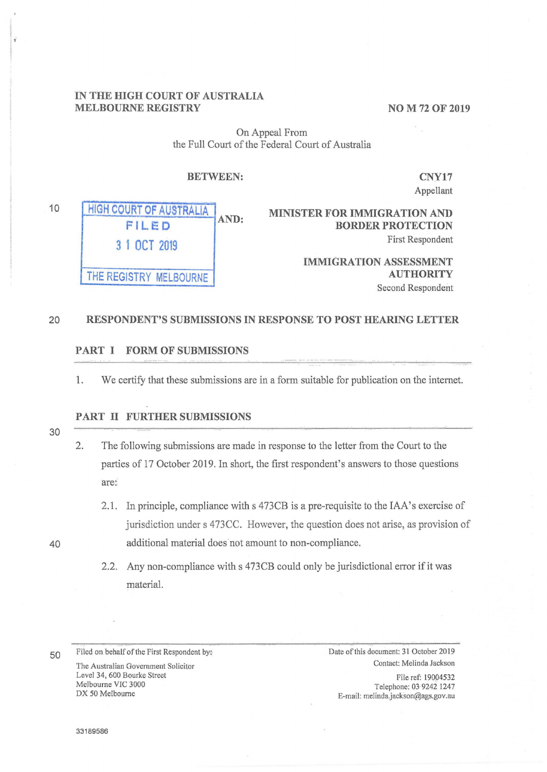# **IN THE HIGH COURT OF AUSTRALIA MELBOURNE REGISTRY** NO M 72 OF 2019

On Appeal From the Full Court of the Federal Court of Australia

### **BETWEEN:**

**CNY17**  Appellant

**HIGH COURT OF AUSTRALIA FILED 3 1 OCT 2019 THE REGISTRY MELBOURNE AND:** 

**MINISTER FOR IMMIGRATION AND BORDER PROTECTION**  First Respondent

> **IMMIGRATION ASSESSMENT AUTHORITY**  Second Respondent

#### 20 **RESPONDENT'S SUBMISSIONS IN RESPONSE TO POST HEARING LETTER**

### **PART I FORM OF SUBMISSIONS**

1. We certify that these submissions are in a form suitable for publication on the internet.

# **PART II FURTHER SUBMISSIONS**

30

40

10

- 2. The following submissions are made in response to the letter from the Court to the parties of 17 October 2019. In short, the first respondent's answers to those questions are:
	- 2.1. In principle, compliance with s 473CB is a pre-requisite to the IAA's exercise of jurisdiction under s 473CC. However, the question does not arise, as provision of additional material does not amount to non-compliance.
	- 2.2. Any non-compliance with s 473CB could only be jurisdictional error if it was material.

Contact: Melinda Jackson The Australian Government Solicitor Level 34, 600 Bourke Street Melbourne VIC 3000 DX 50 Melbourne

. ,-.....

50 Filed on behalf of the First Respondent by: Date of this document: 31 October 2019

File ref: 19004532 Telephone: 039242 1247 E-mail: melinda.jackson@ags.gov.au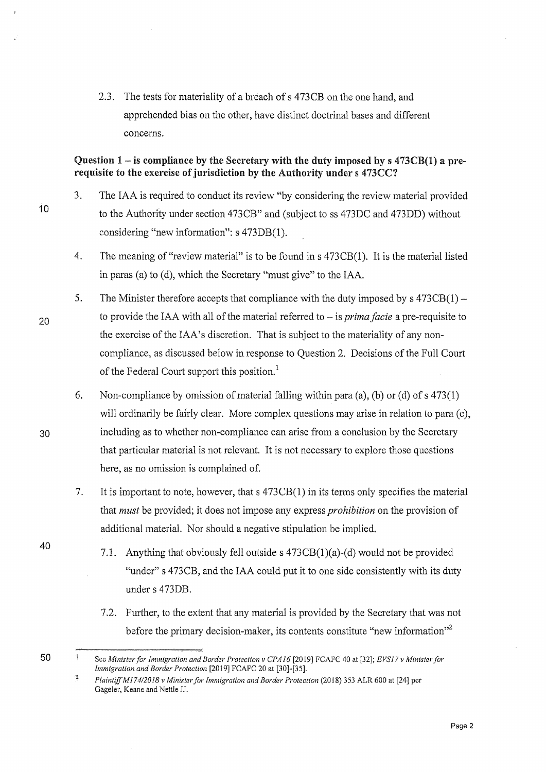2.3. The tests for materiality of a breach of s 473CB on the one hand, and apprehended bias on the other, have distinct doctrinal bases and different concerns.

# **Question 1-is compliance by the Secretary with the duty imposed bys** 473CB(l) **a prerequisite to the exercise of jurisdiction by the Authority under s** 473CC?

10

3. The IAA is required to conduct its review "by considering the review material provided to the Authority under section 473CB" and (subject toss 473DC and 473DD) without considering "new information": s 473DB(l).

- 4. The meaning of "review material" is to be found ins 473CB(l). It is the material listed in paras (a) to (d), which the Secretary "must give" to the IAA.
- 5. The Minister therefore accepts that compliance with the duty imposed by  $s$  473CB(1) to provide the IAA with all of the material referred to - is *prima facie* a pre-requisite to the exercise of the IAA's discretion. That is subject to the materiality of any noncompliance, as discussed below in response to Question 2. Decisions of the Full Court of the Federal Court support this position.<sup>1</sup>
	- 6. Non-compliance by omission of material falling within para (a), (b) or (d) of s 473(1) will ordinarily be fairly clear. More complex questions may arise in relation to para (c), including as to whether non-compliance can arise from a conclusion by the Secretary that particular material is not relevant. It is not necessary to explore those questions here, as no omission is complained of.
	- 7. It is important to note, however, that s 473CB(l) in its terms only specifies the material that *must* be provided; it does not impose any express *prohibition* on the provision of additional material. Nor should a negative stipulation be implied.
		- 7.1. Anything that obviously fell outside  $s$  473CB(1)(a)-(d) would not be provided "under" s 473CB, and the IAA could put it to one side consistently with its duty under s 473DB.
		- 7.2. Further, to the extent that any material is provided by the Secretary that was not before the primary decision-maker, its contents constitute "new information"<sup>2</sup>

20

30

40

See *Minister for Immigration and Border Protection v CPA/6* [2019] FCAFC 40 at [32]; *EVS17 v Minister for Immigration and Border Protection* [2019] FCAFC 20 at [30]-[35].

 $\ddot{\textbf{2}}$ *Plaintiff Mf 74/2018 v Minister for Immigration and Border Protection* (2018) 353 ALR 600 at [24] per Gageler, Keane and Nettle JJ.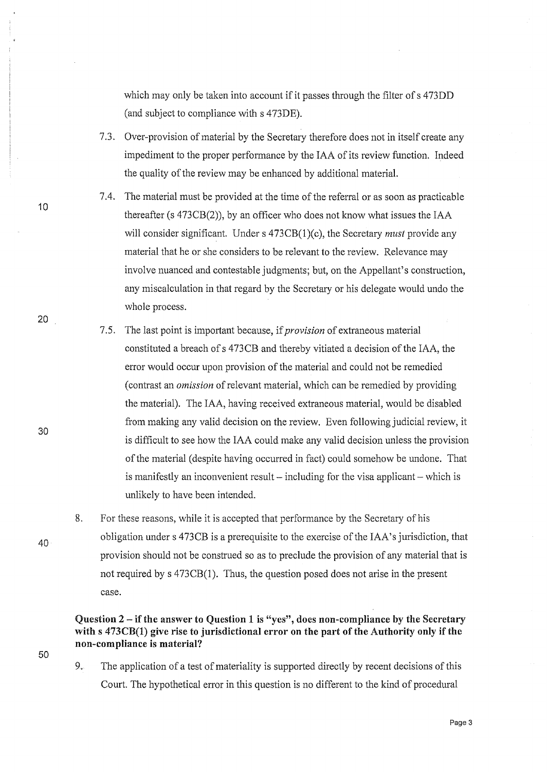which may only be taken into account if it passes through the filter of s 473DD (and subject to compliance with s 473DE).

- 7 .3. Over-provision of material by the Secretary therefore does not in itself create any impediment to the proper performance by the IAA of its review function. Indeed the quality of the review may be enhanced by additional material.
- 7.4. The material must be provided at the time of the referral or as soon as practicable thereafter (s 473CB(2)), by an officer who does not know what issues the IAA will consider significant. Under s 473CB(l)(c), the Secretary *must* provide any material that he or she considers to be relevant to the review. Relevance may involve nuanced and contestable judgments; but, on the Appellant's construction, any miscalculation in that regard by the Secretary or his delegate would undo the whole process.
- 7 .5. The last point is important because, if *provision* of extraneous material constituted a breach of s 473CB and thereby vitiated a decision of the IAA, the error would occur upon provision of the material and could not be remedied ( contrast an *omission* of relevant material, which can be remedied by providing the material). The IAA, having received extraneous material, would be disabled from making any valid decision on the review. Even following judicial review, it is difficult to see how the IAA could make any valid decision unless the provision of the material (despite having occurred in fact) could somehow be undone. That is manifestly an inconvenient result  $-$  including for the visa applicant  $-$  which is unlikely to have been intended.
- 8. For these reasons, while it is accepted that performance by the Secretary of his obligation under s 473CB is a prerequisite to the exercise of the IAA's jurisdiction, that provision should not be construed so as to preclude the provision of any material that is not required by s 473CB(1). Thus, the question posed does not arise in the present case.

# **Question 2** - **if the answer to Question 1 is "yes", does non-compliance by the Secretary with s 473CB(l) give rise to jurisdictional error on the part of the Authority only** if the **non-compliance is material?**

9. The application of a test of materiality is supported directly by recent decisions of this Court. The hypothetical error in this question is no different to the kind of procedural

10

20

30

40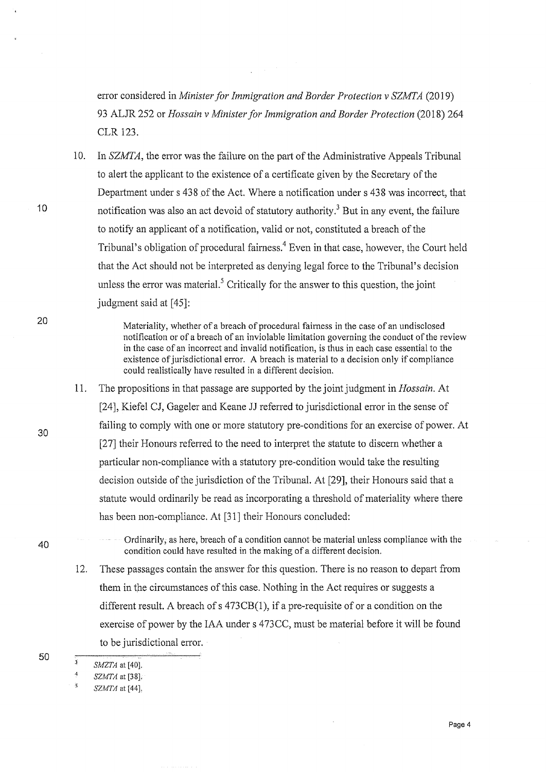error considered in *Minister for Immigration and Border Protection v SZMI'A* (2019) 93 ALJR 252 or *Hossain v Minister for Immigration and Border Protection* (2018) 264 CLR 123.

10. In *SZMTA*, the error was the failure on the part of the Administrative Appeals Tribunal to alert the applicant to the existence of a certificate given by the Secretary of the Department under s 438 of the Act. Where a notification under s 438 was incorrect, that notification was also an act devoid of statutory authority.<sup>3</sup> But in any event, the failure to notify an applicant of a notification, valid or not, constituted a breach of the Tribunal's obligation of procedural fairness.<sup>4</sup> Even in that case, however, the Court held that the Act should not be interpreted as denying legal force to the Tribunal's decision unless the error was material.<sup>5</sup> Critically for the answer to this question, the joint judgment said at [45]:

> Materiality, whether of a breach of procedural fairness in the case of an undisclosed notification or of a breach of an inviolable limitation governing the conduct of the review in the case of an incorrect and invalid notification, is thus in each case essential to the existence of jurisdictional error. A breach is material to a decision only if compliance could realistically have resulted in a different decision.

- 11. The propositions in that passage are supported by the joint judgment in *Hossain*. At [24], Kiefel CJ, Gageler and Keane JJ referred to jurisdictional error in the sense of failing to comply with one or more statutory pre-conditions for an exercise of power. At [27] their Honours referred to the need to interpret the statute to discern whether a particular non-compliance with a statutory pre-condition would take the resulting decision outside of the jurisdiction of the Tribunal. At [29], their Honours said that a statute would ordinarily be read as incorporating a threshold of materiality where there has been non-compliance. At [31] their Honours concluded:
- Ordinarily; as here, breach of a condition cannot be material unless compliance with the condition could have resulted in the making of a different decision.
	- 12. These passages contain the answer for this question. There is no reason to depart from them in the circumstances of this case. Nothing in the Act requires or suggests a different result. A breach of s 473CB(l), if a pre-requisite of or a condition on the exercise of power by the IAA under s 473CC, must be material before it will be found to be jurisdictional error.

20

30

10

40

 $\overline{\mathbf{3}}$ *SMZTA* at [40].

 $\mathbf{a}_t^{\mathbf{d}}$ *SZMTA* at [38].

*SZMTA* at [44],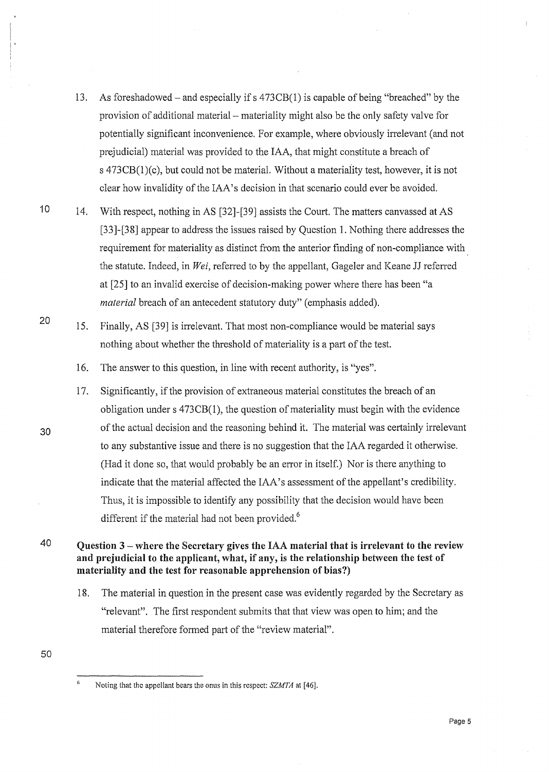- 13. As foreshadowed-and especially ifs 473CB(l) is capable of being "breached" by the provision of additional material - materiality might also be the only safety valve for potentially significant inconvenience. For example, where obviously irrelevant (and not prejudicial) material was provided to the IAA, that might constitute a breach of s 473CB(l)(c), but could not be material. Without a materiaiity test, however, it is not clear how invalidity of the IAA's decision in that scenario could ever be avoided.
- 10 14. With respect, nothing in AS [32]-[39] assists the Court. The matters canvassed at AS [33]-[38] appear to address the issues raised by Question 1. Nothing there addresses the requirement for materiality as distinct from the anterior finding of non-compliance with the statute. Indeed, in *Wei,* referred to by the appellant, Gageler and Keane JJ referred at [25] to an invalid exercise of decision-making power where there has been "a *material* breach of an antecedent statutory duty" (emphasis added).
	- 15. Finally, AS [39] is irrelevant. That most non-compliance would be material says nothing about whether the threshold of materiality is a part of the test.
		- 16. The answer to this question, in line with recent authority, is "yes".
		- 17. Significantly, if the provision of extraneous material constitutes the breach of an obligation under s 473CB(l), the question of materiality must begin with the evidence of the actual decision and the reasoning behind it. The material was certainly irrelevant to any substantive issue and there is no suggestion that the IAA regarded it otherwise. (Had it done so, that would probably be an error in itself.) Nor is there anything to indicate that the material affected the IAA's assessment of the appellant's credibility. Thus, it is impossible to identify any possibility that the decision would have been different if the material had not been provided.<sup>6</sup>

40 **Question 3** - **where the Secretary** gives **the** IAA **material that** is **irrelevant to the review and prejudicial to the applicant, what,** if **any,** is **the relationship between the** test of **materiality and the test for reasonable apprehension of bias?)** 

- 18. The material in question in the present case was evidently regarded by the Secretary as "relevant". The first respondent submits that that view was open to him; and the material therefore formed part of the "review material".
- 50

20

Noting that the appellant bears the onus in this respect: *SZMTA* at [46].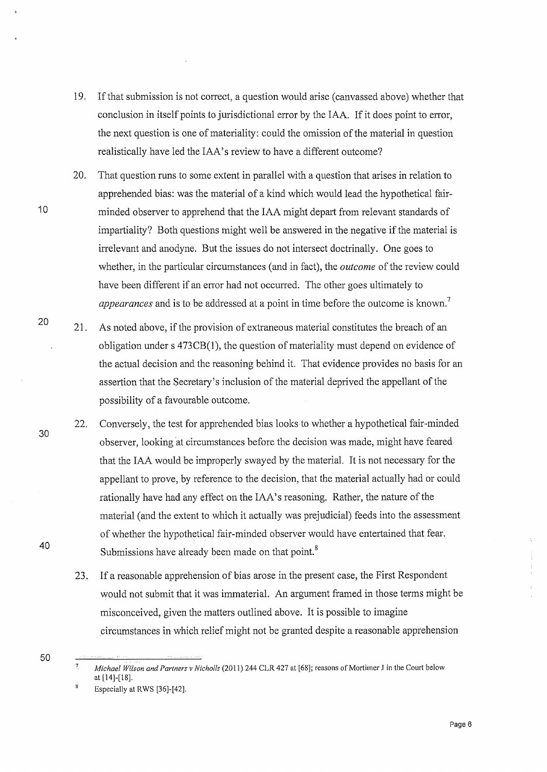- 19. If that submission is not correct, a question would arise ( canvassed above) whether that conclusion in itself points to jurisdictional error by the IAA. If it does point to error, the next question is one of materiality: could the omission of the material in question realistically have led the IAA's review to have a different outcome?
- 20. That question runs to some extent in parallel with a question that arises in relation to apprehended bias: was the material of a kind which would lead the hypothetical fair-10 minded observer to apprehend that the IAA might depart from relevant standards of impartiality? Both questions might well be answered in the negative if the material is irrelevant and anodyne. But the issues do not intersect doctrinally. One goes to whether, in the particular circumstances (and in fact), the *outcome* of the review could have been different if an error had not occurred. The other goes ultimately to *appearances* and is to be addressed at a point in time before the outcome is known.<sup>7</sup>
	- 21. As noted above, if the provision of extraneous material constitutes the breach of an obligation under s 473CB(l), the question of materiality must depend on evidence of the actual decision and the reasoning behind it. That evidence provides no basis for an assertion that the Secretary's inclusion of the material deprived the appellant of the possibility of a favourable outcome.
		- 22. Conversely, the test for apprehended bias looks to whether a hypothetical fair-minded observer, looking at circumstances before the decision was made, might have feared that the IAA would be improperly swayed by the material. It is not necessary for the appellant to prove, by reference to the decision, that the material actually had or could rationally have had any effect on the IAA's reasoning. Rather, the nature of the material (and the extent to which it actually was prejudicial) feeds into the assessment of whether the hypothetical fair-minded observer would have entertained that fear. Submissions have already been made on that point.<sup>8</sup>
		- 23. If a reasonable apprehension of bias arose in the present case, the First Respondent would not submit that it was immaterial. An argument framed in those terms might be misconceived, given the matters outlined above. It is possible to imagine circumstances in which relief might not be granted despite a reasonable apprehension
- 50

20

30

40

Page 6

 $\overline{7}$ *Michael Wilson and Partners v Nicholls* (2011) 244 CLR 427 at [68]; reasons of Mortimer Jin the Court below at [14]-[18].

 $\dot{\mathbf{x}}$ Especially at RWS (36]-[42].